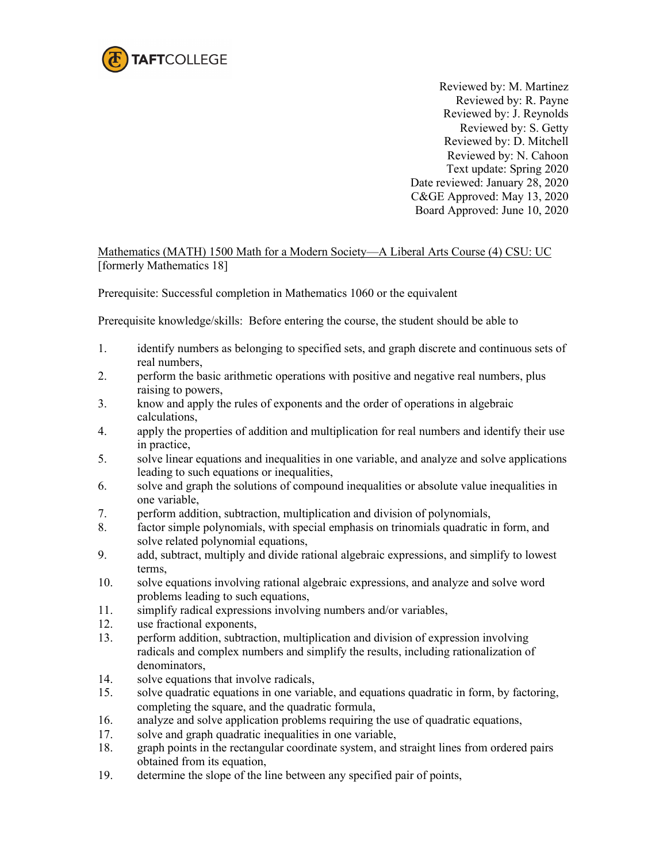

Reviewed by: M. Martinez Reviewed by: R. Payne Reviewed by: J. Reynolds Reviewed by: S. Getty Reviewed by: D. Mitchell Reviewed by: N. Cahoon Text update: Spring 2020 Date reviewed: January 28, 2020 C&GE Approved: May 13, 2020 Board Approved: June 10, 2020

Mathematics (MATH) 1500 Math for a Modern Society—A Liberal Arts Course (4) CSU: UC [formerly Mathematics 18]

Prerequisite: Successful completion in Mathematics 1060 or the equivalent

Prerequisite knowledge/skills: Before entering the course, the student should be able to

- 1. identify numbers as belonging to specified sets, and graph discrete and continuous sets of real numbers,
- 2. perform the basic arithmetic operations with positive and negative real numbers, plus raising to powers,
- 3. know and apply the rules of exponents and the order of operations in algebraic calculations,
- 4. apply the properties of addition and multiplication for real numbers and identify their use in practice,
- 5. solve linear equations and inequalities in one variable, and analyze and solve applications leading to such equations or inequalities,
- 6. solve and graph the solutions of compound inequalities or absolute value inequalities in one variable,
- 7. perform addition, subtraction, multiplication and division of polynomials,
- 8. factor simple polynomials, with special emphasis on trinomials quadratic in form, and solve related polynomial equations,
- 9. add, subtract, multiply and divide rational algebraic expressions, and simplify to lowest terms,
- 10. solve equations involving rational algebraic expressions, and analyze and solve word problems leading to such equations,
- 11. simplify radical expressions involving numbers and/or variables,
- 12. use fractional exponents,
- 13. perform addition, subtraction, multiplication and division of expression involving radicals and complex numbers and simplify the results, including rationalization of denominators,
- 14. solve equations that involve radicals,
- 15. solve quadratic equations in one variable, and equations quadratic in form, by factoring, completing the square, and the quadratic formula,
- 16. analyze and solve application problems requiring the use of quadratic equations,
- 17. solve and graph quadratic inequalities in one variable,
- 18. graph points in the rectangular coordinate system, and straight lines from ordered pairs obtained from its equation,
- 19. determine the slope of the line between any specified pair of points,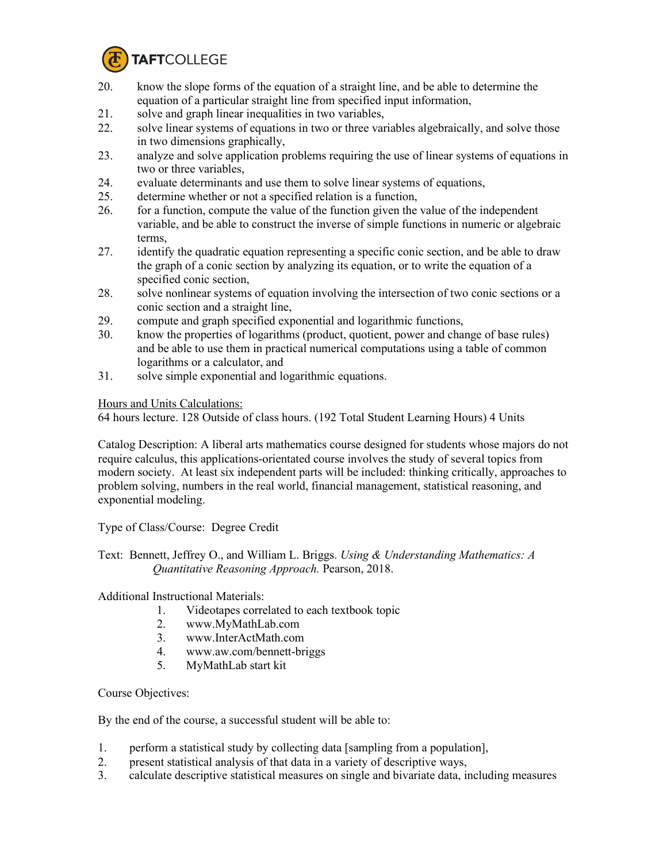

- 20. know the slope forms of the equation of a straight line, and be able to determine the equation of a particular straight line from specified input information,
- 21. solve and graph linear inequalities in two variables,
- 22. solve linear systems of equations in two or three variables algebraically, and solve those in two dimensions graphically,
- 23. analyze and solve application problems requiring the use of linear systems of equations in two or three variables,
- 24. evaluate determinants and use them to solve linear systems of equations,
- 25. determine whether or not a specified relation is a function,
- 26. for a function, compute the value of the function given the value of the independent variable, and be able to construct the inverse of simple functions in numeric or algebraic terms,
- 27. identify the quadratic equation representing a specific conic section, and be able to draw the graph of a conic section by analyzing its equation, or to write the equation of a specified conic section,
- 28. solve nonlinear systems of equation involving the intersection of two conic sections or a conic section and a straight line,
- 29. compute and graph specified exponential and logarithmic functions,
- 30. know the properties of logarithms (product, quotient, power and change of base rules) and be able to use them in practical numerical computations using a table of common logarithms or a calculator, and
- 31. solve simple exponential and logarithmic equations.

Hours and Units Calculations:

64 hours lecture. 128 Outside of class hours. (192 Total Student Learning Hours) 4 Units

Catalog Description: A liberal arts mathematics course designed for students whose majors do not require calculus, this applications-orientated course involves the study of several topics from modern society. At least six independent parts will be included: thinking critically, approaches to problem solving, numbers in the real world, financial management, statistical reasoning, and exponential modeling.

Type of Class/Course: Degree Credit

Text: Bennett, Jeffrey O., and William L. Briggs. *Using & Understanding Mathematics: A Quantitative Reasoning Approach.* Pearson, 2018.

Additional Instructional Materials:

- 1. Videotapes correlated to each textbook topic
- 2. [www.MyMathLab.com](http://www.mymathlab.com/)
- 3. [www.InterActMath.com](http://www.interactmath.com/)
- 4. [www.aw.com/bennett-briggs](http://www.aw.com/bennett-briggs)
- 5. MyMathLab start kit

Course Objectives:

By the end of the course, a successful student will be able to:

- 1. perform a statistical study by collecting data [sampling from a population],
- 2. present statistical analysis of that data in a variety of descriptive ways,
- 3. calculate descriptive statistical measures on single and bivariate data, including measures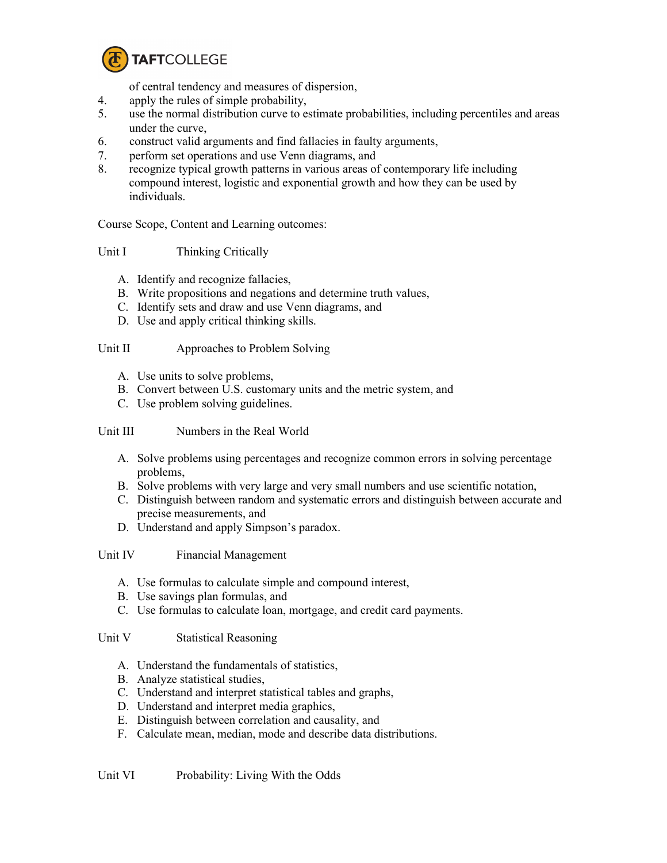

of central tendency and measures of dispersion,

- 4. apply the rules of simple probability,
- 5. use the normal distribution curve to estimate probabilities, including percentiles and areas under the curve,
- 6. construct valid arguments and find fallacies in faulty arguments,
- 7. perform set operations and use Venn diagrams, and
- 8. recognize typical growth patterns in various areas of contemporary life including compound interest, logistic and exponential growth and how they can be used by individuals.

Course Scope, Content and Learning outcomes:

## Unit I Thinking Critically

- A. Identify and recognize fallacies,
- B. Write propositions and negations and determine truth values,
- C. Identify sets and draw and use Venn diagrams, and
- D. Use and apply critical thinking skills.

## Unit II Approaches to Problem Solving

- A. Use units to solve problems,
- B. Convert between U.S. customary units and the metric system, and
- C. Use problem solving guidelines.

# Unit III Numbers in the Real World

- A. Solve problems using percentages and recognize common errors in solving percentage problems,
- B. Solve problems with very large and very small numbers and use scientific notation,
- C. Distinguish between random and systematic errors and distinguish between accurate and precise measurements, and
- D. Understand and apply Simpson's paradox.

Unit IV Financial Management

- A. Use formulas to calculate simple and compound interest,
- B. Use savings plan formulas, and
- C. Use formulas to calculate loan, mortgage, and credit card payments.

Unit V Statistical Reasoning

- A. Understand the fundamentals of statistics,
- B. Analyze statistical studies,
- C. Understand and interpret statistical tables and graphs,
- D. Understand and interpret media graphics,
- E. Distinguish between correlation and causality, and
- F. Calculate mean, median, mode and describe data distributions.

Unit VI Probability: Living With the Odds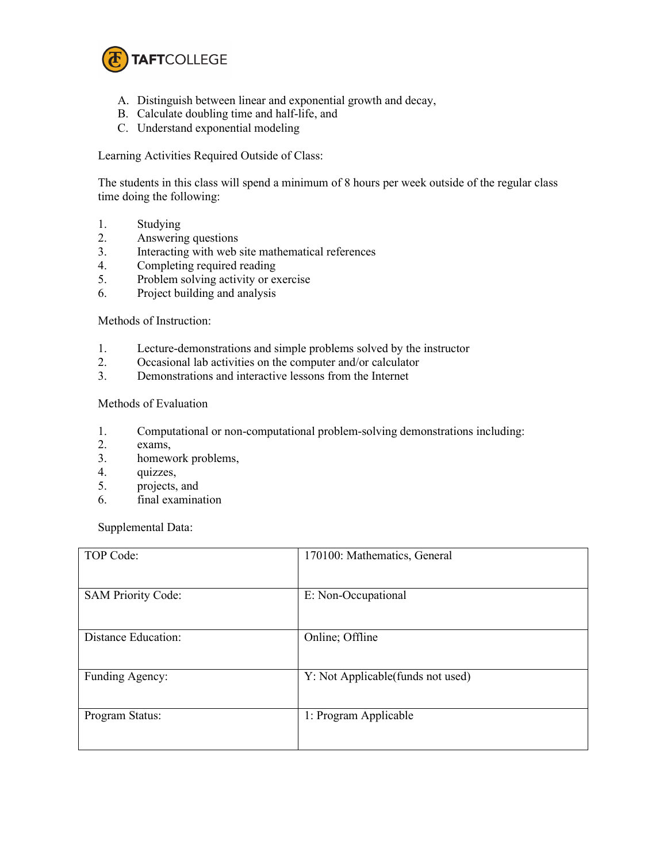

- A. Distinguish between linear and exponential growth and decay,
- B. Calculate doubling time and half-life, and
- C. Understand exponential modeling

Learning Activities Required Outside of Class:

The students in this class will spend a minimum of 8 hours per week outside of the regular class time doing the following:

- 1. Studying
- 2. Answering questions
- 3. Interacting with web site mathematical references
- 4. Completing required reading
- 5. Problem solving activity or exercise
- 6. Project building and analysis

### Methods of Instruction:

- 1. Lecture-demonstrations and simple problems solved by the instructor
- 2. Occasional lab activities on the computer and/or calculator
- 3. Demonstrations and interactive lessons from the Internet

### Methods of Evaluation

- 1. Computational or non-computational problem-solving demonstrations including:
- 2. exams,
- 3. homework problems,
- 4. quizzes,
- 5. projects, and
- 6. final examination

Supplemental Data:

| TOP Code:                  | 170100: Mathematics, General       |
|----------------------------|------------------------------------|
| <b>SAM Priority Code:</b>  | E: Non-Occupational                |
| <b>Distance Education:</b> | Online; Offline                    |
| Funding Agency:            | Y: Not Applicable (funds not used) |
| Program Status:            | 1: Program Applicable              |